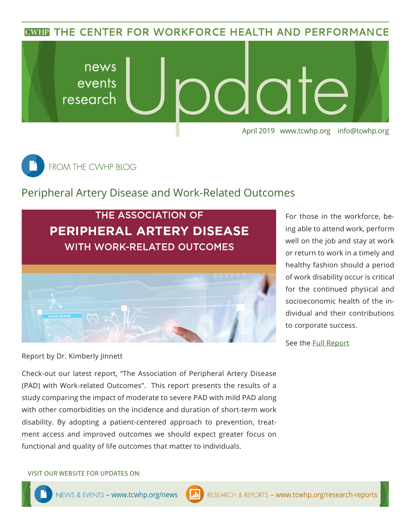**CWHP THE CENTER FOR WORKFORCE HEALTH AND PERFORMANCE** 





## Peripheral Artery Disease and Work-Related Outcomes



For those in the workforce, being able to attend work, perform well on the job and stay at work or return to work in a timely and healthy fashion should a period of work disability occur is critical for the continued physical and socioeconomic health of the individual and their contributions to corporate success.

See the **[Full R](https://www.tcwhp.org/peripheral-artery-disease-and-work-related-outcomes)eport** 

Report by Dr. Kimberly Jinnett

Check-out our latest report, "The Association of Peripheral Artery Disease (PAD) with Work-related Outcomes". This report presents the results of a study comparing the impact of moderate to severe PAD with mild PAD along with other comorbidities on the incidence and duration of short-term work disability. By adopting a patient-centered approach to prevention, treatment access and improved outcomes we should expect greater focus on functional and quality of life outcomes that matter to individuals.

VISIT OUR WEBSITE FOR UPDATES ON: